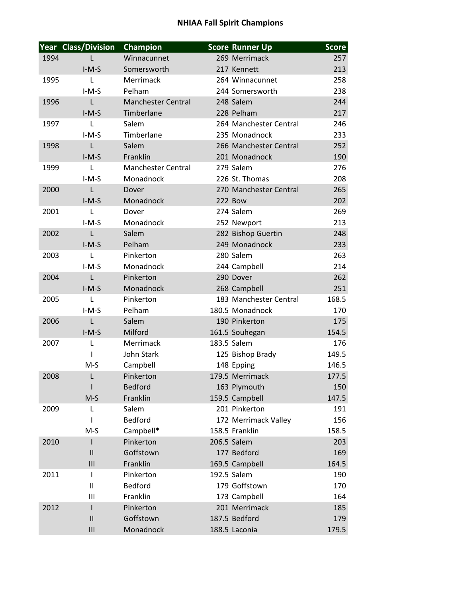## **NHIAA Fall Spirit Champions**

|      | <b>Year Class/Division</b> | <b>Champion</b>           | <b>Score Runner Up</b> | <b>Score</b> |
|------|----------------------------|---------------------------|------------------------|--------------|
| 1994 |                            | Winnacunnet               | 269 Merrimack          | 257          |
|      | $I-M-S$                    | Somersworth               | 217 Kennett            | 213          |
| 1995 | L                          | Merrimack                 | 264 Winnacunnet        | 258          |
|      | $I-M-S$                    | Pelham                    | 244 Somersworth        | 238          |
| 1996 | $\mathsf{L}$               | <b>Manchester Central</b> | 248 Salem              | 244          |
|      | $I-M-S$                    | Timberlane                | 228 Pelham             | 217          |
| 1997 | $\mathsf{L}$               | Salem                     | 264 Manchester Central | 246          |
|      | $I-M-S$                    | Timberlane                | 235 Monadnock          | 233          |
| 1998 | $\mathsf{L}$               | Salem                     | 266 Manchester Central | 252          |
|      | $I-M-S$                    | Franklin                  | 201 Monadnock          | 190          |
| 1999 | $\mathsf{L}$               | <b>Manchester Central</b> | 279 Salem              | 276          |
|      | $I-M-S$                    | Monadnock                 | 226 St. Thomas         | 208          |
| 2000 | L                          | Dover                     | 270 Manchester Central | 265          |
|      | $I-M-S$                    | Monadnock                 | <b>222 Bow</b>         | 202          |
| 2001 | L                          | Dover                     | 274 Salem              | 269          |
|      | $I-M-S$                    | Monadnock                 | 252 Newport            | 213          |
| 2002 | $\mathsf{L}$               | Salem                     | 282 Bishop Guertin     | 248          |
|      | $I-M-S$                    | Pelham                    | 249 Monadnock          | 233          |
| 2003 | $\mathsf{L}$               | Pinkerton                 | 280 Salem              | 263          |
|      | $I-M-S$                    | Monadnock                 | 244 Campbell           | 214          |
| 2004 | $\mathsf{L}$               | Pinkerton                 | 290 Dover              | 262          |
|      | $I-M-S$                    | Monadnock                 | 268 Campbell           | 251          |
| 2005 | $\mathsf{L}$               | Pinkerton                 | 183 Manchester Central | 168.5        |
|      | $I-M-S$                    | Pelham                    | 180.5 Monadnock        | 170          |
| 2006 | L                          | Salem                     | 190 Pinkerton          | 175          |
|      | $I-M-S$                    | Milford                   | 161.5 Souhegan         | 154.5        |
| 2007 | L                          | Merrimack                 | 183.5 Salem            | 176          |
|      | 1                          | John Stark                | 125 Bishop Brady       | 149.5        |
|      | $M-S$                      | Campbell                  | 148 Epping             | 146.5        |
| 2008 | L                          | Pinkerton                 | 179.5 Merrimack        | 177.5        |
|      |                            | <b>Bedford</b>            | 163 Plymouth           | 150          |
|      | $M-S$                      | Franklin                  | 159.5 Campbell         | 147.5        |
| 2009 | L                          | Salem                     | 201 Pinkerton          | 191          |
|      | $\mathsf{l}$               | <b>Bedford</b>            | 172 Merrimack Valley   | 156          |
|      | $M-S$                      | Campbell*                 | 158.5 Franklin         | 158.5        |
| 2010 | $\mathbf{I}$               | Pinkerton                 | 206.5 Salem            | 203          |
|      | $\mathbf{II}$              | Goffstown                 | 177 Bedford            | 169          |
|      | III                        | Franklin                  | 169.5 Campbell         | 164.5        |
| 2011 | Т                          | Pinkerton                 | 192.5 Salem            | 190          |
|      | $\mathbf{I}$               | <b>Bedford</b>            | 179 Goffstown          | 170          |
|      | Ш                          | Franklin                  | 173 Campbell           | 164          |
| 2012 | $\mathsf{I}$               | Pinkerton                 | 201 Merrimack          | 185          |
|      | $\mathbf{II}$              | Goffstown                 | 187.5 Bedford          | 179          |
|      | III                        | Monadnock                 | 188.5 Laconia          | 179.5        |